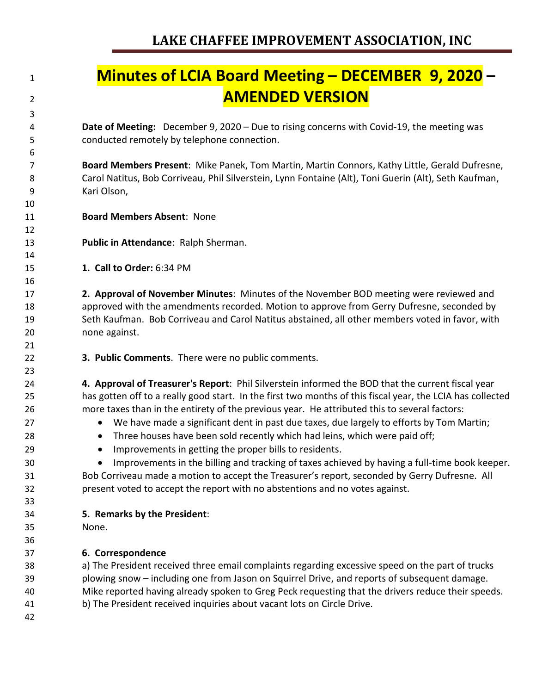## **Minutes of LCIA Board Meeting – DECEMBER 9, 2020 – AMENDED VERSION**

 **Date of Meeting:** December 9, 2020 – Due to rising concerns with Covid-19, the meeting was conducted remotely by telephone connection.

 **Board Members Present**: Mike Panek, Tom Martin, Martin Connors, Kathy Little, Gerald Dufresne, Carol Natitus, Bob Corriveau, Phil Silverstein, Lynn Fontaine (Alt), Toni Guerin (Alt), Seth Kaufman, Kari Olson,

- **Board Members Absent**: None
- **Public in Attendance**: Ralph Sherman.
- **1. Call to Order:** 6:34 PM

 **2. Approval of November Minutes**: Minutes of the November BOD meeting were reviewed and approved with the amendments recorded. Motion to approve from Gerry Dufresne, seconded by Seth Kaufman. Bob Corriveau and Carol Natitus abstained, all other members voted in favor, with none against.

**3. Public Comments**. There were no public comments.

 **4. Approval of Treasurer's Report**: Phil Silverstein informed the BOD that the current fiscal year has gotten off to a really good start. In the first two months of this fiscal year, the LCIA has collected more taxes than in the entirety of the previous year. He attributed this to several factors:

- 27 We have made a significant dent in past due taxes, due largely to efforts by Tom Martin;
- 28 Three houses have been sold recently which had leins, which were paid off;
- Improvements in getting the proper bills to residents.

 • Improvements in the billing and tracking of taxes achieved by having a full-time book keeper. Bob Corriveau made a motion to accept the Treasurer's report, seconded by Gerry Dufresne. All present voted to accept the report with no abstentions and no votes against.

- **5. Remarks by the President**:
- None.
- 

**6. Correspondence**

 a) The President received three email complaints regarding excessive speed on the part of trucks plowing snow – including one from Jason on Squirrel Drive, and reports of subsequent damage. Mike reported having already spoken to Greg Peck requesting that the drivers reduce their speeds. b) The President received inquiries about vacant lots on Circle Drive.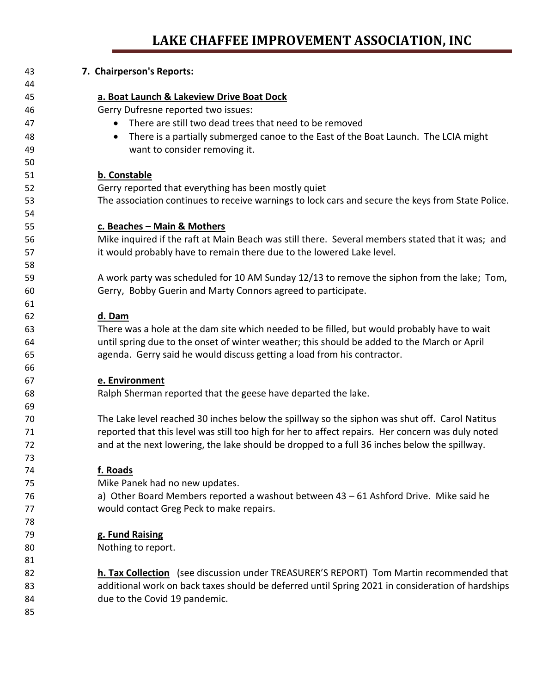## **LAKE CHAFFEE IMPROVEMENT ASSOCIATION, INC**

| 43 | 7. Chairperson's Reports:                                                                         |
|----|---------------------------------------------------------------------------------------------------|
| 44 |                                                                                                   |
| 45 | a. Boat Launch & Lakeview Drive Boat Dock                                                         |
| 46 | Gerry Dufresne reported two issues:                                                               |
| 47 | There are still two dead trees that need to be removed                                            |
| 48 | There is a partially submerged canoe to the East of the Boat Launch. The LCIA might<br>$\bullet$  |
| 49 | want to consider removing it.                                                                     |
| 50 |                                                                                                   |
| 51 | b. Constable                                                                                      |
| 52 | Gerry reported that everything has been mostly quiet                                              |
| 53 | The association continues to receive warnings to lock cars and secure the keys from State Police. |
| 54 |                                                                                                   |
| 55 | c. Beaches - Main & Mothers                                                                       |
| 56 | Mike inquired if the raft at Main Beach was still there. Several members stated that it was; and  |
| 57 | it would probably have to remain there due to the lowered Lake level.                             |
| 58 |                                                                                                   |
| 59 | A work party was scheduled for 10 AM Sunday 12/13 to remove the siphon from the lake; Tom,        |
| 60 | Gerry, Bobby Guerin and Marty Connors agreed to participate.                                      |
| 61 |                                                                                                   |
| 62 | d. Dam                                                                                            |
| 63 | There was a hole at the dam site which needed to be filled, but would probably have to wait       |
| 64 | until spring due to the onset of winter weather; this should be added to the March or April       |
| 65 | agenda. Gerry said he would discuss getting a load from his contractor.                           |
| 66 |                                                                                                   |
| 67 | e. Environment                                                                                    |
| 68 | Ralph Sherman reported that the geese have departed the lake.                                     |
| 69 |                                                                                                   |
| 70 | The Lake level reached 30 inches below the spillway so the siphon was shut off. Carol Natitus     |
| 71 | reported that this level was still too high for her to affect repairs. Her concern was duly noted |
| 72 | and at the next lowering, the lake should be dropped to a full 36 inches below the spillway.      |
| 73 |                                                                                                   |
| 74 | f. Roads                                                                                          |
| 75 | Mike Panek had no new updates.                                                                    |
| 76 | a) Other Board Members reported a washout between 43 - 61 Ashford Drive. Mike said he             |
| 77 | would contact Greg Peck to make repairs.                                                          |
| 78 |                                                                                                   |
| 79 | g. Fund Raising                                                                                   |
| 80 | Nothing to report.                                                                                |
| 81 |                                                                                                   |
| 82 | h. Tax Collection (see discussion under TREASURER'S REPORT) Tom Martin recommended that           |
| 83 | additional work on back taxes should be deferred until Spring 2021 in consideration of hardships  |
| 84 | due to the Covid 19 pandemic.                                                                     |